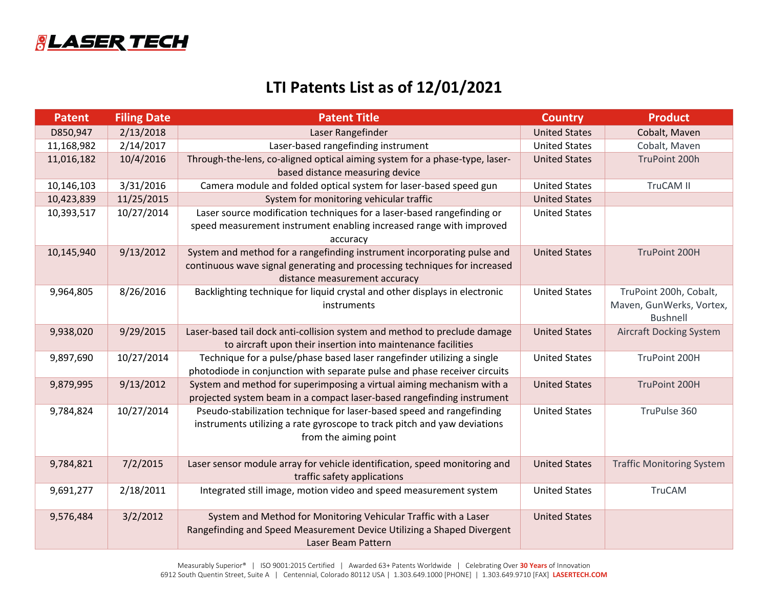

## **LTI Patents List as of 12/01/2021**

| <b>Patent</b> | <b>Filing Date</b> | <b>Patent Title</b>                                                                                                                    | <b>Country</b>       | <b>Product</b>                   |
|---------------|--------------------|----------------------------------------------------------------------------------------------------------------------------------------|----------------------|----------------------------------|
| D850,947      | 2/13/2018          | Laser Rangefinder                                                                                                                      | <b>United States</b> | Cobalt, Maven                    |
| 11,168,982    | 2/14/2017          | Laser-based rangefinding instrument                                                                                                    | <b>United States</b> | Cobalt, Maven                    |
| 11,016,182    | 10/4/2016          | Through-the-lens, co-aligned optical aiming system for a phase-type, laser-                                                            | <b>United States</b> | TruPoint 200h                    |
|               |                    | based distance measuring device                                                                                                        |                      |                                  |
| 10,146,103    | 3/31/2016          | Camera module and folded optical system for laser-based speed gun                                                                      | <b>United States</b> | TruCAM II                        |
| 10,423,839    | 11/25/2015         | System for monitoring vehicular traffic                                                                                                | <b>United States</b> |                                  |
| 10,393,517    | 10/27/2014         | Laser source modification techniques for a laser-based rangefinding or                                                                 | <b>United States</b> |                                  |
|               |                    | speed measurement instrument enabling increased range with improved                                                                    |                      |                                  |
|               |                    | accuracy                                                                                                                               |                      |                                  |
| 10,145,940    | 9/13/2012          | System and method for a rangefinding instrument incorporating pulse and                                                                | <b>United States</b> | TruPoint 200H                    |
|               |                    | continuous wave signal generating and processing techniques for increased                                                              |                      |                                  |
|               |                    | distance measurement accuracy                                                                                                          |                      |                                  |
| 9,964,805     | 8/26/2016          | Backlighting technique for liquid crystal and other displays in electronic                                                             | <b>United States</b> | TruPoint 200h, Cobalt,           |
|               |                    | instruments                                                                                                                            |                      | Maven, GunWerks, Vortex,         |
|               |                    |                                                                                                                                        |                      | <b>Bushnell</b>                  |
| 9,938,020     | 9/29/2015          | Laser-based tail dock anti-collision system and method to preclude damage                                                              | <b>United States</b> | <b>Aircraft Docking System</b>   |
|               |                    | to aircraft upon their insertion into maintenance facilities<br>Technique for a pulse/phase based laser rangefinder utilizing a single | <b>United States</b> | TruPoint 200H                    |
| 9,897,690     | 10/27/2014         | photodiode in conjunction with separate pulse and phase receiver circuits                                                              |                      |                                  |
| 9,879,995     | 9/13/2012          | System and method for superimposing a virtual aiming mechanism with a                                                                  | <b>United States</b> | TruPoint 200H                    |
|               |                    | projected system beam in a compact laser-based rangefinding instrument                                                                 |                      |                                  |
| 9,784,824     | 10/27/2014         | Pseudo-stabilization technique for laser-based speed and rangefinding                                                                  | <b>United States</b> | TruPulse 360                     |
|               |                    | instruments utilizing a rate gyroscope to track pitch and yaw deviations                                                               |                      |                                  |
|               |                    | from the aiming point                                                                                                                  |                      |                                  |
|               |                    |                                                                                                                                        |                      |                                  |
| 9,784,821     | 7/2/2015           | Laser sensor module array for vehicle identification, speed monitoring and                                                             | <b>United States</b> | <b>Traffic Monitoring System</b> |
|               |                    | traffic safety applications                                                                                                            |                      |                                  |
| 9,691,277     | 2/18/2011          | Integrated still image, motion video and speed measurement system                                                                      | <b>United States</b> | <b>TruCAM</b>                    |
|               |                    |                                                                                                                                        |                      |                                  |
| 9,576,484     | 3/2/2012           | System and Method for Monitoring Vehicular Traffic with a Laser                                                                        | <b>United States</b> |                                  |
|               |                    | Rangefinding and Speed Measurement Device Utilizing a Shaped Divergent                                                                 |                      |                                  |
|               |                    | Laser Beam Pattern                                                                                                                     |                      |                                  |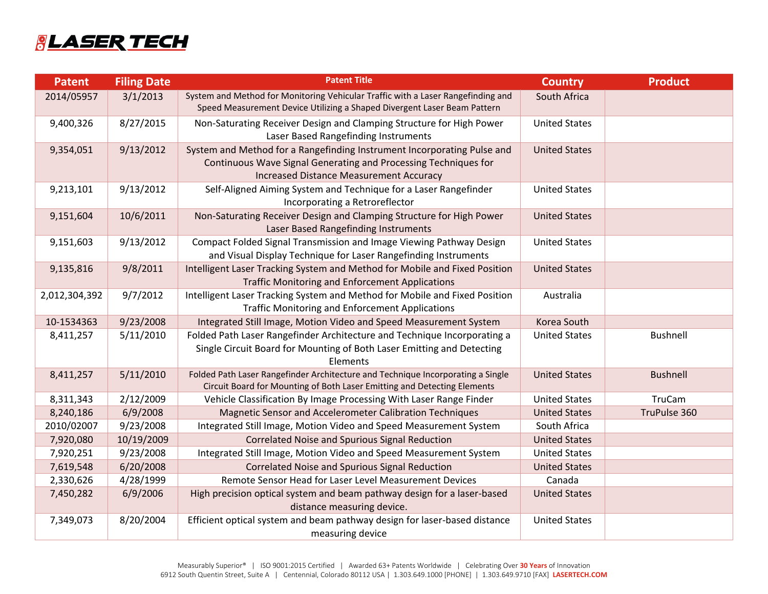## **&LASER TECH**

| <b>Patent</b> | <b>Filing Date</b> | <b>Patent Title</b>                                                                                                                                                                          | <b>Country</b>       | <b>Product</b>  |
|---------------|--------------------|----------------------------------------------------------------------------------------------------------------------------------------------------------------------------------------------|----------------------|-----------------|
| 2014/05957    | 3/1/2013           | System and Method for Monitoring Vehicular Traffic with a Laser Rangefinding and<br>Speed Measurement Device Utilizing a Shaped Divergent Laser Beam Pattern                                 | South Africa         |                 |
| 9,400,326     | 8/27/2015          | Non-Saturating Receiver Design and Clamping Structure for High Power<br>Laser Based Rangefinding Instruments                                                                                 | <b>United States</b> |                 |
| 9,354,051     | 9/13/2012          | System and Method for a Rangefinding Instrument Incorporating Pulse and<br>Continuous Wave Signal Generating and Processing Techniques for<br><b>Increased Distance Measurement Accuracy</b> | <b>United States</b> |                 |
| 9,213,101     | 9/13/2012          | Self-Aligned Aiming System and Technique for a Laser Rangefinder<br>Incorporating a Retroreflector                                                                                           | <b>United States</b> |                 |
| 9,151,604     | 10/6/2011          | Non-Saturating Receiver Design and Clamping Structure for High Power<br>Laser Based Rangefinding Instruments                                                                                 | <b>United States</b> |                 |
| 9,151,603     | 9/13/2012          | Compact Folded Signal Transmission and Image Viewing Pathway Design<br>and Visual Display Technique for Laser Rangefinding Instruments                                                       | <b>United States</b> |                 |
| 9,135,816     | 9/8/2011           | Intelligent Laser Tracking System and Method for Mobile and Fixed Position<br><b>Traffic Monitoring and Enforcement Applications</b>                                                         | <b>United States</b> |                 |
| 2,012,304,392 | 9/7/2012           | Intelligent Laser Tracking System and Method for Mobile and Fixed Position<br><b>Traffic Monitoring and Enforcement Applications</b>                                                         | Australia            |                 |
| 10-1534363    | 9/23/2008          | Integrated Still Image, Motion Video and Speed Measurement System                                                                                                                            | Korea South          |                 |
| 8,411,257     | 5/11/2010          | Folded Path Laser Rangefinder Architecture and Technique Incorporating a<br>Single Circuit Board for Mounting of Both Laser Emitting and Detecting<br>Elements                               | <b>United States</b> | <b>Bushnell</b> |
| 8,411,257     | 5/11/2010          | Folded Path Laser Rangefinder Architecture and Technique Incorporating a Single<br>Circuit Board for Mounting of Both Laser Emitting and Detecting Elements                                  | <b>United States</b> | <b>Bushnell</b> |
| 8,311,343     | 2/12/2009          | Vehicle Classification By Image Processing With Laser Range Finder                                                                                                                           | <b>United States</b> | <b>TruCam</b>   |
| 8,240,186     | 6/9/2008           | Magnetic Sensor and Accelerometer Calibration Techniques                                                                                                                                     | <b>United States</b> | TruPulse 360    |
| 2010/02007    | 9/23/2008          | Integrated Still Image, Motion Video and Speed Measurement System                                                                                                                            | South Africa         |                 |
| 7,920,080     | 10/19/2009         | <b>Correlated Noise and Spurious Signal Reduction</b>                                                                                                                                        | <b>United States</b> |                 |
| 7,920,251     | 9/23/2008          | Integrated Still Image, Motion Video and Speed Measurement System                                                                                                                            | <b>United States</b> |                 |
| 7,619,548     | 6/20/2008          | <b>Correlated Noise and Spurious Signal Reduction</b>                                                                                                                                        | <b>United States</b> |                 |
| 2,330,626     | 4/28/1999          | Remote Sensor Head for Laser Level Measurement Devices                                                                                                                                       | Canada               |                 |
| 7,450,282     | 6/9/2006           | High precision optical system and beam pathway design for a laser-based<br>distance measuring device.                                                                                        | <b>United States</b> |                 |
| 7,349,073     | 8/20/2004          | Efficient optical system and beam pathway design for laser-based distance<br>measuring device                                                                                                | <b>United States</b> |                 |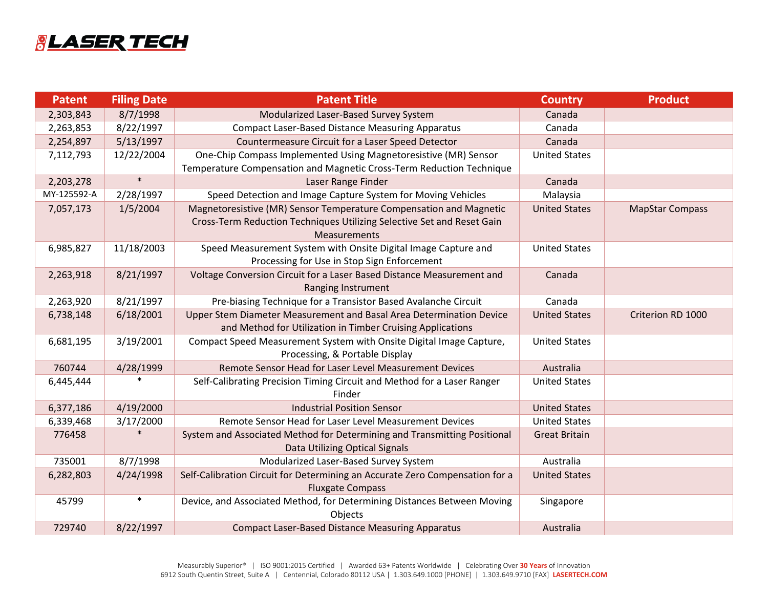

| <b>Patent</b> | <b>Filing Date</b> | <b>Patent Title</b>                                                          | <b>Country</b>       | <b>Product</b>         |
|---------------|--------------------|------------------------------------------------------------------------------|----------------------|------------------------|
| 2,303,843     | 8/7/1998           | Modularized Laser-Based Survey System                                        | Canada               |                        |
| 2,263,853     | 8/22/1997          | <b>Compact Laser-Based Distance Measuring Apparatus</b>                      | Canada               |                        |
| 2,254,897     | 5/13/1997          | Countermeasure Circuit for a Laser Speed Detector                            | Canada               |                        |
| 7,112,793     | 12/22/2004         | One-Chip Compass Implemented Using Magnetoresistive (MR) Sensor              | <b>United States</b> |                        |
|               |                    | Temperature Compensation and Magnetic Cross-Term Reduction Technique         |                      |                        |
| 2,203,278     | $\ast$             | Laser Range Finder                                                           | Canada               |                        |
| MY-125592-A   | 2/28/1997          | Speed Detection and Image Capture System for Moving Vehicles                 | Malaysia             |                        |
| 7,057,173     | 1/5/2004           | Magnetoresistive (MR) Sensor Temperature Compensation and Magnetic           | <b>United States</b> | <b>MapStar Compass</b> |
|               |                    | Cross-Term Reduction Techniques Utilizing Selective Set and Reset Gain       |                      |                        |
|               |                    | Measurements                                                                 |                      |                        |
| 6,985,827     | 11/18/2003         | Speed Measurement System with Onsite Digital Image Capture and               | <b>United States</b> |                        |
|               |                    | Processing for Use in Stop Sign Enforcement                                  |                      |                        |
| 2,263,918     | 8/21/1997          | Voltage Conversion Circuit for a Laser Based Distance Measurement and        | Canada               |                        |
|               |                    | Ranging Instrument                                                           |                      |                        |
| 2,263,920     | 8/21/1997          | Pre-biasing Technique for a Transistor Based Avalanche Circuit               | Canada               |                        |
| 6,738,148     | 6/18/2001          | Upper Stem Diameter Measurement and Basal Area Determination Device          | <b>United States</b> | Criterion RD 1000      |
|               |                    | and Method for Utilization in Timber Cruising Applications                   |                      |                        |
| 6,681,195     | 3/19/2001          | Compact Speed Measurement System with Onsite Digital Image Capture,          | <b>United States</b> |                        |
|               |                    | Processing, & Portable Display                                               |                      |                        |
| 760744        | 4/28/1999          | Remote Sensor Head for Laser Level Measurement Devices                       | Australia            |                        |
| 6,445,444     |                    | Self-Calibrating Precision Timing Circuit and Method for a Laser Ranger      | <b>United States</b> |                        |
|               |                    | Finder                                                                       |                      |                        |
| 6,377,186     | 4/19/2000          | <b>Industrial Position Sensor</b>                                            | <b>United States</b> |                        |
| 6,339,468     | 3/17/2000          | Remote Sensor Head for Laser Level Measurement Devices                       | <b>United States</b> |                        |
| 776458        | $\ast$             | System and Associated Method for Determining and Transmitting Positional     | <b>Great Britain</b> |                        |
|               |                    | Data Utilizing Optical Signals                                               |                      |                        |
| 735001        | 8/7/1998           | Modularized Laser-Based Survey System                                        | Australia            |                        |
| 6,282,803     | 4/24/1998          | Self-Calibration Circuit for Determining an Accurate Zero Compensation for a | <b>United States</b> |                        |
|               |                    | <b>Fluxgate Compass</b>                                                      |                      |                        |
| 45799         | $\ast$             | Device, and Associated Method, for Determining Distances Between Moving      | Singapore            |                        |
|               |                    | Objects                                                                      |                      |                        |
| 729740        | 8/22/1997          | <b>Compact Laser-Based Distance Measuring Apparatus</b>                      | Australia            |                        |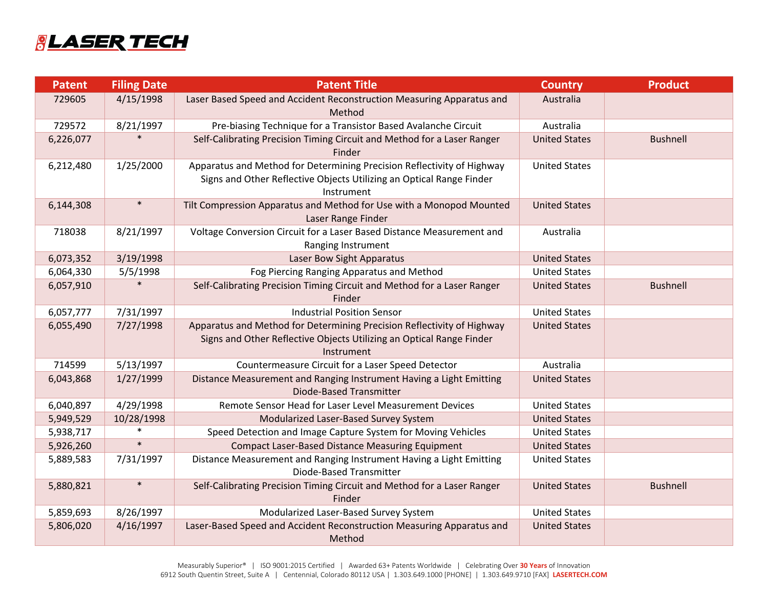## **&LASER TECH**

| <b>Patent</b> | <b>Filing Date</b> | <b>Patent Title</b>                                                                                                                                          | <b>Country</b>       | <b>Product</b>  |
|---------------|--------------------|--------------------------------------------------------------------------------------------------------------------------------------------------------------|----------------------|-----------------|
| 729605        | 4/15/1998          | Laser Based Speed and Accident Reconstruction Measuring Apparatus and<br>Method                                                                              | Australia            |                 |
| 729572        | 8/21/1997          | Pre-biasing Technique for a Transistor Based Avalanche Circuit                                                                                               | Australia            |                 |
| 6,226,077     |                    | Self-Calibrating Precision Timing Circuit and Method for a Laser Ranger<br>Finder                                                                            | <b>United States</b> | <b>Bushnell</b> |
| 6,212,480     | 1/25/2000          | Apparatus and Method for Determining Precision Reflectivity of Highway<br>Signs and Other Reflective Objects Utilizing an Optical Range Finder<br>Instrument | <b>United States</b> |                 |
| 6,144,308     | $\ast$             | Tilt Compression Apparatus and Method for Use with a Monopod Mounted<br>Laser Range Finder                                                                   | <b>United States</b> |                 |
| 718038        | 8/21/1997          | Voltage Conversion Circuit for a Laser Based Distance Measurement and<br>Ranging Instrument                                                                  | Australia            |                 |
| 6,073,352     | 3/19/1998          | Laser Bow Sight Apparatus                                                                                                                                    | <b>United States</b> |                 |
| 6,064,330     | 5/5/1998           | Fog Piercing Ranging Apparatus and Method                                                                                                                    | <b>United States</b> |                 |
| 6,057,910     |                    | Self-Calibrating Precision Timing Circuit and Method for a Laser Ranger<br>Finder                                                                            | <b>United States</b> | <b>Bushnell</b> |
| 6,057,777     | 7/31/1997          | <b>Industrial Position Sensor</b>                                                                                                                            | <b>United States</b> |                 |
| 6,055,490     | 7/27/1998          | Apparatus and Method for Determining Precision Reflectivity of Highway<br>Signs and Other Reflective Objects Utilizing an Optical Range Finder<br>Instrument | <b>United States</b> |                 |
| 714599        | 5/13/1997          | Countermeasure Circuit for a Laser Speed Detector                                                                                                            | Australia            |                 |
| 6,043,868     | 1/27/1999          | Distance Measurement and Ranging Instrument Having a Light Emitting<br><b>Diode-Based Transmitter</b>                                                        | <b>United States</b> |                 |
| 6,040,897     | 4/29/1998          | Remote Sensor Head for Laser Level Measurement Devices                                                                                                       | <b>United States</b> |                 |
| 5,949,529     | 10/28/1998         | Modularized Laser-Based Survey System                                                                                                                        | <b>United States</b> |                 |
| 5,938,717     | $\ast$             | Speed Detection and Image Capture System for Moving Vehicles                                                                                                 | <b>United States</b> |                 |
| 5,926,260     | $\ast$             | <b>Compact Laser-Based Distance Measuring Equipment</b>                                                                                                      | <b>United States</b> |                 |
| 5,889,583     | 7/31/1997          | Distance Measurement and Ranging Instrument Having a Light Emitting<br><b>Diode-Based Transmitter</b>                                                        | <b>United States</b> |                 |
| 5,880,821     | $\ast$             | Self-Calibrating Precision Timing Circuit and Method for a Laser Ranger<br>Finder                                                                            | <b>United States</b> | <b>Bushnell</b> |
| 5,859,693     | 8/26/1997          | Modularized Laser-Based Survey System                                                                                                                        | <b>United States</b> |                 |
| 5,806,020     | 4/16/1997          | Laser-Based Speed and Accident Reconstruction Measuring Apparatus and<br>Method                                                                              | <b>United States</b> |                 |